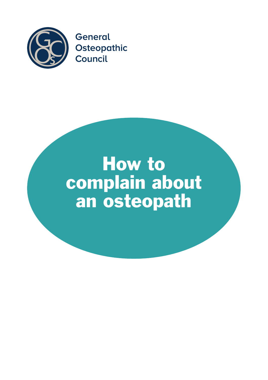

# How to complain about an osteopath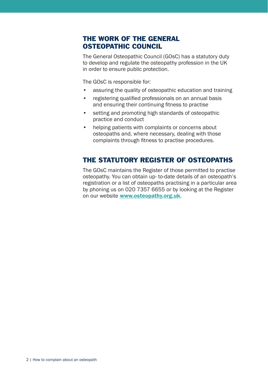## THE WORK OF THE GENERAL OSTEOPATHIC COUNCIL

The General Osteopathic Council (GOsC) has a statutory duty to develop and regulate the osteopathy profession in the UK in order to ensure public protection.

The GOsC is responsible for:

- assuring the quality of osteopathic education and training
- • registering qualified professionals on an annual basis and ensuring their continuing fitness to practise
- setting and promoting high standards of osteopathic practice and conduct
- helping patients with complaints or concerns about osteopaths and, where necessary, dealing with those complaints through fitness to practise procedures.

## THE STATUTORY REGISTER OF OSTEOPATHS

The GOsC maintains the Register of those permitted to practise osteopathy. You can obtain up- to-date details of an osteopath's registration or a list of osteopaths practising in a particular area by phoning us on 020 7357 6655 or by looking at the Register on our website [www.osteopathy.org.uk](http://www.osteopathy.org.uk/).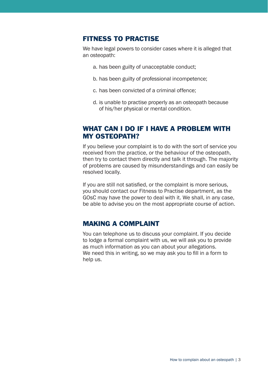#### FITNESS TO PRACTISE

We have legal powers to consider cases where it is alleged that an osteopath:

- a. has been guilty of unacceptable conduct;
- b. has been guilty of professional incompetence;
- c. has been convicted of a criminal offence;
- d. is unable to practise properly as an osteopath because of his/her physical or mental condition.

## WHAT CAN I DO IF I HAVE A PROBLEM WITH MY OSTEOPATH?

If you believe your complaint is to do with the sort of service you received from the practice, or the behaviour of the osteopath, then try to contact them directly and talk it through. The majority of problems are caused by misunderstandings and can easily be resolved locally.

If you are still not satisfied, or the complaint is more serious, you should contact our Fitness to Practise department, as the GOsC may have the power to deal with it. We shall, in any case, be able to advise you on the most appropriate course of action.

## MAKING A COMPLAINT

You can telephone us to discuss your complaint. If you decide to lodge a formal complaint with us, we will ask you to provide as much information as you can about your allegations. We need this in writing, so we may ask you to fill in a form to help us.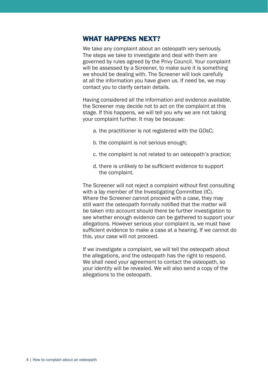#### WHAT HAPPENS NEXT?

We take any complaint about an osteopath very seriously. The steps we take to investigate and deal with them are governed by rules agreed by the Privy Council. Your complaint will be assessed by a Screener, to make sure it is something we should be dealing with. The Screener will look carefully at all the information you have given us. If need be, we may contact you to clarify certain details.

Having considered all the information and evidence available, the Screener may decide not to act on the complaint at this stage. If this happens, we will tell you why we are not taking your complaint further. It may be because:

- a. the practitioner is not registered with the GOsC;
- b. the complaint is not serious enough;
- c. the complaint is not related to an osteopath's practice;
- d. there is unlikely to be sufficient evidence to support the complaint.

The Screener will not reject a complaint without first consulting with a lay member of the Investigating Committee (IC). Where the Screener cannot proceed with a case, they may still want the osteopath formally notified that the matter will be taken into account should there be further investigation to see whether enough evidence can be gathered to support your allegations. However serious your complaint is, we must have sufficient evidence to make a case at a hearing. If we cannot do this, your case will not proceed.

If we investigate a complaint, we will tell the osteopath about the allegations, and the osteopath has the right to respond. We shall need your agreement to contact the osteopath, so your identity will be revealed. We will also send a copy of the allegations to the osteopath.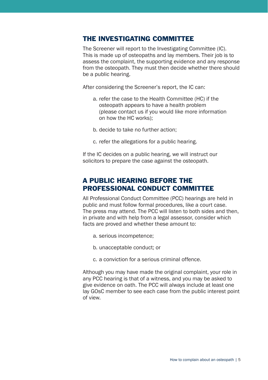#### THE INVESTIGATING COMMITTEE

The Screener will report to the Investigating Committee (IC). This is made up of osteopaths and lay members. Their job is to assess the complaint, the supporting evidence and any response from the osteopath. They must then decide whether there should be a public hearing.

After considering the Screener's report, the IC can:

- a. refer the case to the Health Committee (HC) if the osteopath appears to have a health problem (please contact us if you would like more information on how the HC works);
- b. decide to take no further action;
- c. refer the allegations for a public hearing.

If the IC decides on a public hearing, we will instruct our solicitors to prepare the case against the osteopath.

## A PUBLIC HEARING BEFORE THE PROFESSIONAL CONDUCT COMMITTEE

All Professional Conduct Committee (PCC) hearings are held in public and must follow formal procedures, like a court case. The press may attend. The PCC will listen to both sides and then, in private and with help from a legal assessor, consider which facts are proved and whether these amount to:

- a. serious incompetence;
- b. unacceptable conduct; or
- c. a conviction for a serious criminal offence.

Although you may have made the original complaint, your role in any PCC hearing is that of a witness, and you may be asked to give evidence on oath. The PCC will always include at least one lay GOsC member to see each case from the public interest point of view.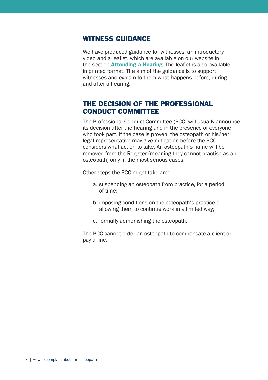#### WITNESS GUIDANCE

We have produced guidance for witnesses: an introductory video and a leaflet, which are available on our website in the section **[Attending a Hearing](http://www.osteopathy.org.uk/standards/complaints/hearings/attending-a-hearing/witness-guidance)**. The leaflet is also available in printed format. The aim of the guidance is to support witnesses and explain to them what happens before, during and after a hearing.

## THE DECISION OF THE PROFESSIONAL CONDUCT COMMITTEE

The Professional Conduct Committee (PCC) will usually announce its decision after the hearing and in the presence of everyone who took part. If the case is proven, the osteopath or his/her legal representative may give mitigation before the PCC considers what action to take. An osteopath's name will be removed from the Register (meaning they cannot practise as an osteopath) only in the most serious cases.

Other steps the PCC might take are:

- a. suspending an osteopath from practice, for a period of time;
- b. imposing conditions on the osteopath's practice or allowing them to continue work in a limited way;
- c. formally admonishing the osteopath.

The PCC cannot order an osteopath to compensate a client or pay a fine.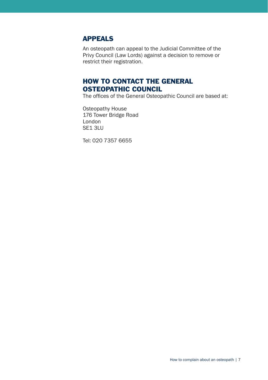## APPEALS

An osteopath can appeal to the Judicial Committee of the Privy Council (Law Lords) against a decision to remove or restrict their registration.

# HOW TO CONTACT THE GENERAL OSTEOPATHIC COUNCIL

The offices of the General Osteopathic Council are based at:

Osteopathy House 176 Tower Bridge Road London SE1 3LU

Tel: 020 7357 6655